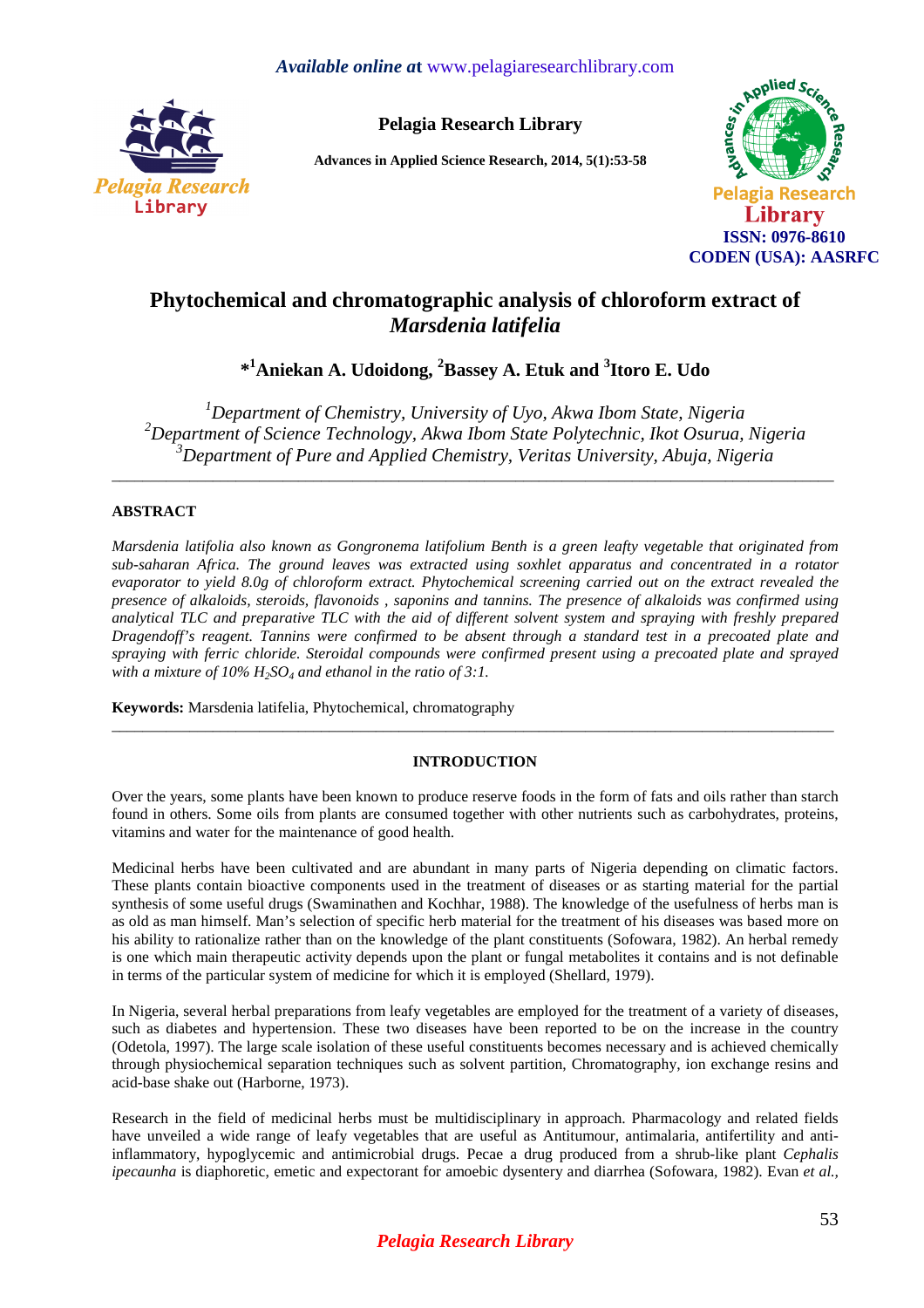

**Pelagia Research Library** 

**Advances in Applied Science Research, 2014, 5(1):53-58** 



# **Phytochemical and chromatographic analysis of chloroform extract of**  *Marsdenia latifelia*

**\* <sup>1</sup>Aniekan A. Udoidong, <sup>2</sup>Bassey A. Etuk and <sup>3</sup> Itoro E. Udo** 

*<sup>1</sup>Department of Chemistry, University of Uyo, Akwa Ibom State, Nigeria <sup>2</sup>Department of Science Technology, Akwa Ibom State Polytechnic, Ikot Osurua, Nigeria <sup>3</sup>Department of Pure and Applied Chemistry, Veritas University, Abuja, Nigeria* 

 $\overline{a}$  , and the contribution of the contribution of the contribution of the contribution of the contribution of the contribution of the contribution of the contribution of the contribution of the contribution of the co

## **ABSTRACT**

*Marsdenia latifolia also known as Gongronema latifolium Benth is a green leafty vegetable that originated from sub-saharan Africa. The ground leaves was extracted using soxhlet apparatus and concentrated in a rotator evaporator to yield 8.0g of chloroform extract. Phytochemical screening carried out on the extract revealed the presence of alkaloids, steroids, flavonoids , saponins and tannins. The presence of alkaloids was confirmed using analytical TLC and preparative TLC with the aid of different solvent system and spraying with freshly prepared Dragendoff's reagent. Tannins were confirmed to be absent through a standard test in a precoated plate and spraying with ferric chloride. Steroidal compounds were confirmed present using a precoated plate and sprayed with a mixture of 10% H2SO4 and ethanol in the ratio of 3:1.* 

**Keywords:** Marsdenia latifelia, Phytochemical, chromatography

## **INTRODUCTION**

\_\_\_\_\_\_\_\_\_\_\_\_\_\_\_\_\_\_\_\_\_\_\_\_\_\_\_\_\_\_\_\_\_\_\_\_\_\_\_\_\_\_\_\_\_\_\_\_\_\_\_\_\_\_\_\_\_\_\_\_\_\_\_\_\_\_\_\_\_\_\_\_\_\_\_\_\_\_\_\_\_\_\_\_\_\_\_\_\_\_\_\_\_

Over the years, some plants have been known to produce reserve foods in the form of fats and oils rather than starch found in others. Some oils from plants are consumed together with other nutrients such as carbohydrates, proteins, vitamins and water for the maintenance of good health.

Medicinal herbs have been cultivated and are abundant in many parts of Nigeria depending on climatic factors. These plants contain bioactive components used in the treatment of diseases or as starting material for the partial synthesis of some useful drugs (Swaminathen and Kochhar, 1988). The knowledge of the usefulness of herbs man is as old as man himself. Man's selection of specific herb material for the treatment of his diseases was based more on his ability to rationalize rather than on the knowledge of the plant constituents (Sofowara, 1982). An herbal remedy is one which main therapeutic activity depends upon the plant or fungal metabolites it contains and is not definable in terms of the particular system of medicine for which it is employed (Shellard, 1979).

In Nigeria, several herbal preparations from leafy vegetables are employed for the treatment of a variety of diseases, such as diabetes and hypertension. These two diseases have been reported to be on the increase in the country (Odetola, 1997). The large scale isolation of these useful constituents becomes necessary and is achieved chemically through physiochemical separation techniques such as solvent partition, Chromatography, ion exchange resins and acid-base shake out (Harborne, 1973).

Research in the field of medicinal herbs must be multidisciplinary in approach. Pharmacology and related fields have unveiled a wide range of leafy vegetables that are useful as Antitumour, antimalaria, antifertility and antiinflammatory, hypoglycemic and antimicrobial drugs. Pecae a drug produced from a shrub-like plant *Cephalis ipecaunha* is diaphoretic, emetic and expectorant for amoebic dysentery and diarrhea (Sofowara, 1982). Evan *et al.,*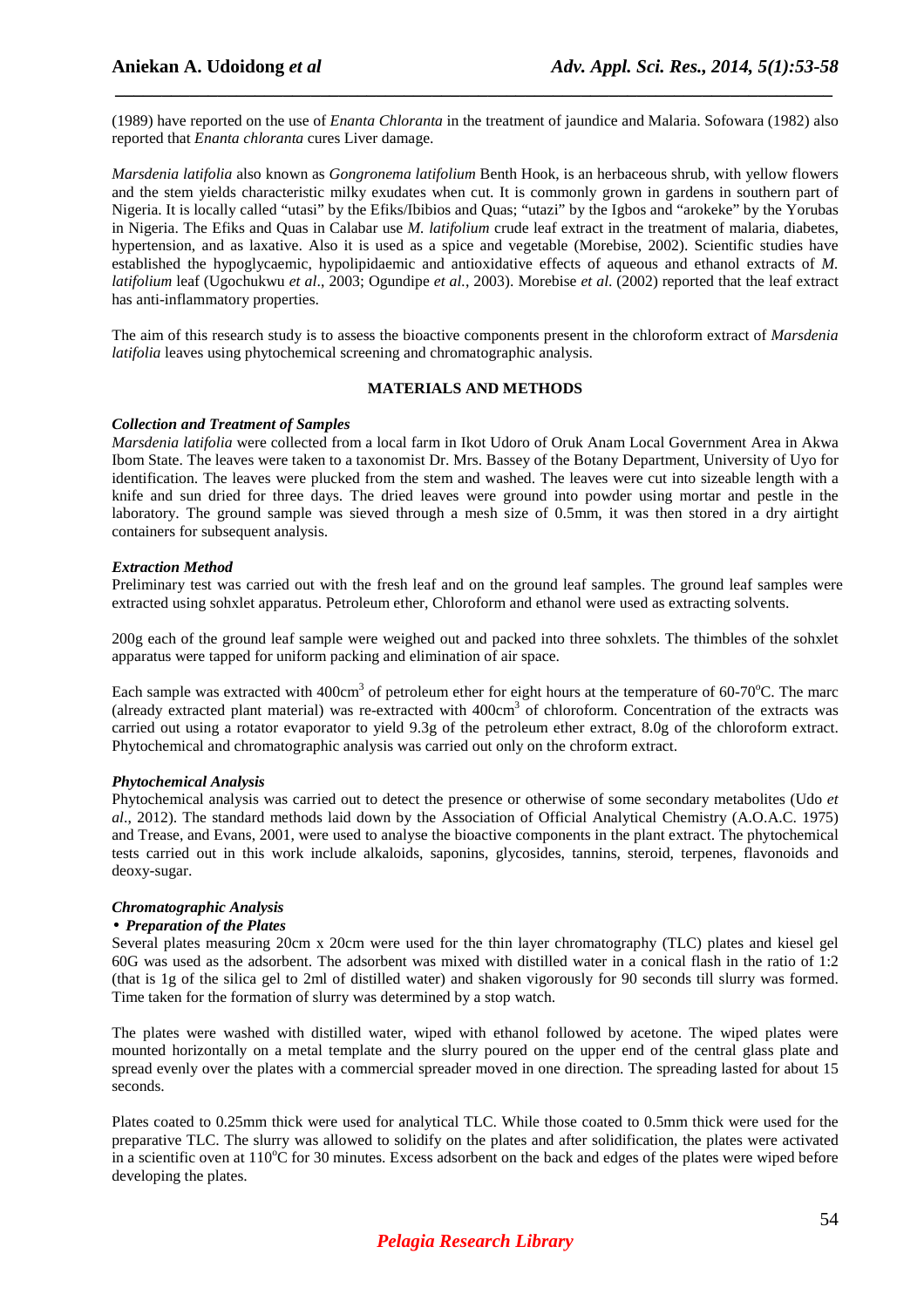(1989) have reported on the use of *Enanta Chloranta* in the treatment of jaundice and Malaria. Sofowara (1982) also reported that *Enanta chloranta* cures Liver damage.

 *\_\_\_\_\_\_\_\_\_\_\_\_\_\_\_\_\_\_\_\_\_\_\_\_\_\_\_\_\_\_\_\_\_\_\_\_\_\_\_\_\_\_\_\_\_\_\_\_\_\_\_\_\_\_\_\_\_\_\_\_\_\_\_\_\_\_\_\_\_\_\_\_\_\_\_\_\_*

*Marsdenia latifolia* also known as *Gongronema latifolium* Benth Hook, is an herbaceous shrub, with yellow flowers and the stem yields characteristic milky exudates when cut. It is commonly grown in gardens in southern part of Nigeria. It is locally called "utasi" by the Efiks/Ibibios and Quas; "utazi" by the Igbos and "arokeke" by the Yorubas in Nigeria. The Efiks and Quas in Calabar use *M. latifolium* crude leaf extract in the treatment of malaria, diabetes, hypertension, and as laxative. Also it is used as a spice and vegetable (Morebise, 2002). Scientific studies have established the hypoglycaemic, hypolipidaemic and antioxidative effects of aqueous and ethanol extracts of *M. latifolium* leaf (Ugochukwu *et al*., 2003; Ogundipe *et al.*, 2003). Morebise *et al*. (2002) reported that the leaf extract has anti-inflammatory properties.

The aim of this research study is to assess the bioactive components present in the chloroform extract of *Marsdenia latifolia* leaves using phytochemical screening and chromatographic analysis.

#### **MATERIALS AND METHODS**

#### *Collection and Treatment of Samples*

*Marsdenia latifolia* were collected from a local farm in Ikot Udoro of Oruk Anam Local Government Area in Akwa Ibom State. The leaves were taken to a taxonomist Dr. Mrs. Bassey of the Botany Department, University of Uyo for identification. The leaves were plucked from the stem and washed. The leaves were cut into sizeable length with a knife and sun dried for three days. The dried leaves were ground into powder using mortar and pestle in the laboratory. The ground sample was sieved through a mesh size of 0.5mm, it was then stored in a dry airtight containers for subsequent analysis.

#### *Extraction Method*

Preliminary test was carried out with the fresh leaf and on the ground leaf samples. The ground leaf samples were extracted using sohxlet apparatus. Petroleum ether, Chloroform and ethanol were used as extracting solvents.

200g each of the ground leaf sample were weighed out and packed into three sohxlets. The thimbles of the sohxlet apparatus were tapped for uniform packing and elimination of air space.

Each sample was extracted with  $400 \text{cm}^3$  of petroleum ether for eight hours at the temperature of 60-70°C. The marc (already extracted plant material) was re-extracted with  $400 \text{cm}^3$  of chloroform. Concentration of the extracts was carried out using a rotator evaporator to yield 9.3g of the petroleum ether extract, 8.0g of the chloroform extract. Phytochemical and chromatographic analysis was carried out only on the chroform extract.

#### *Phytochemical Analysis*

Phytochemical analysis was carried out to detect the presence or otherwise of some secondary metabolites (Udo *et al*., 2012). The standard methods laid down by the Association of Official Analytical Chemistry (A.O.A.C. 1975) and Trease, and Evans, 2001, were used to analyse the bioactive components in the plant extract. The phytochemical tests carried out in this work include alkaloids, saponins, glycosides, tannins, steroid, terpenes, flavonoids and deoxy-sugar.

## *Chromatographic Analysis*

#### • *Preparation of the Plates*

Several plates measuring 20cm x 20cm were used for the thin layer chromatography (TLC) plates and kiesel gel 60G was used as the adsorbent. The adsorbent was mixed with distilled water in a conical flash in the ratio of 1:2 (that is 1g of the silica gel to 2ml of distilled water) and shaken vigorously for 90 seconds till slurry was formed. Time taken for the formation of slurry was determined by a stop watch.

The plates were washed with distilled water, wiped with ethanol followed by acetone. The wiped plates were mounted horizontally on a metal template and the slurry poured on the upper end of the central glass plate and spread evenly over the plates with a commercial spreader moved in one direction. The spreading lasted for about 15 seconds.

Plates coated to 0.25mm thick were used for analytical TLC. While those coated to 0.5mm thick were used for the preparative TLC. The slurry was allowed to solidify on the plates and after solidification, the plates were activated in a scientific oven at  $110^{\circ}$ C for 30 minutes. Excess adsorbent on the back and edges of the plates were wiped before developing the plates.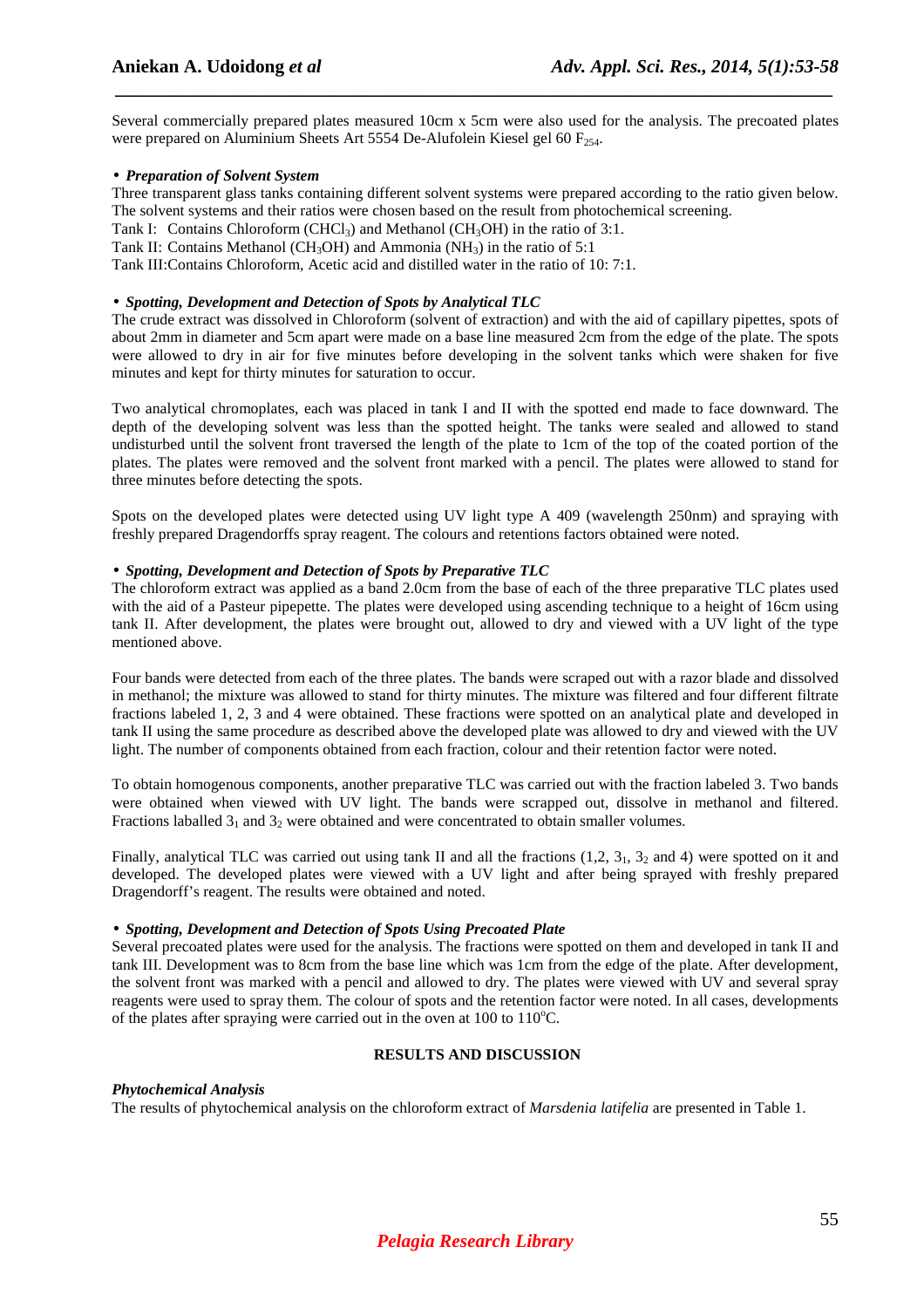Several commercially prepared plates measured 10cm x 5cm were also used for the analysis. The precoated plates were prepared on Aluminium Sheets Art 5554 De-Alufolein Kiesel gel 60  $F_{254}$ .

 *\_\_\_\_\_\_\_\_\_\_\_\_\_\_\_\_\_\_\_\_\_\_\_\_\_\_\_\_\_\_\_\_\_\_\_\_\_\_\_\_\_\_\_\_\_\_\_\_\_\_\_\_\_\_\_\_\_\_\_\_\_\_\_\_\_\_\_\_\_\_\_\_\_\_\_\_\_*

## • *Preparation of Solvent System*

Three transparent glass tanks containing different solvent systems were prepared according to the ratio given below. The solvent systems and their ratios were chosen based on the result from photochemical screening.

Tank I: Contains Chloroform (CHCl<sub>3</sub>) and Methanol (CH<sub>3</sub>OH) in the ratio of 3:1.

Tank II: Contains Methanol (CH<sub>3</sub>OH) and Ammonia (NH<sub>3</sub>) in the ratio of 5:1

Tank III: Contains Chloroform, Acetic acid and distilled water in the ratio of 10: 7:1.

## • *Spotting, Development and Detection of Spots by Analytical TLC*

The crude extract was dissolved in Chloroform (solvent of extraction) and with the aid of capillary pipettes, spots of about 2mm in diameter and 5cm apart were made on a base line measured 2cm from the edge of the plate. The spots were allowed to dry in air for five minutes before developing in the solvent tanks which were shaken for five minutes and kept for thirty minutes for saturation to occur.

Two analytical chromoplates, each was placed in tank I and II with the spotted end made to face downward. The depth of the developing solvent was less than the spotted height. The tanks were sealed and allowed to stand undisturbed until the solvent front traversed the length of the plate to 1cm of the top of the coated portion of the plates. The plates were removed and the solvent front marked with a pencil. The plates were allowed to stand for three minutes before detecting the spots.

Spots on the developed plates were detected using UV light type A 409 (wavelength 250nm) and spraying with freshly prepared Dragendorffs spray reagent. The colours and retentions factors obtained were noted.

## • *Spotting, Development and Detection of Spots by Preparative TLC*

The chloroform extract was applied as a band 2.0cm from the base of each of the three preparative TLC plates used with the aid of a Pasteur pipepette. The plates were developed using ascending technique to a height of 16cm using tank II. After development, the plates were brought out, allowed to dry and viewed with a UV light of the type mentioned above.

Four bands were detected from each of the three plates. The bands were scraped out with a razor blade and dissolved in methanol; the mixture was allowed to stand for thirty minutes. The mixture was filtered and four different filtrate fractions labeled 1, 2, 3 and 4 were obtained. These fractions were spotted on an analytical plate and developed in tank II using the same procedure as described above the developed plate was allowed to dry and viewed with the UV light. The number of components obtained from each fraction, colour and their retention factor were noted.

To obtain homogenous components, another preparative TLC was carried out with the fraction labeled 3. Two bands were obtained when viewed with UV light. The bands were scrapped out, dissolve in methanol and filtered. Fractions laballed  $3<sub>1</sub>$  and  $3<sub>2</sub>$  were obtained and were concentrated to obtain smaller volumes.

Finally, analytical TLC was carried out using tank II and all the fractions  $(1,2, 3<sub>1</sub>, 3<sub>2</sub>$  and 4) were spotted on it and developed. The developed plates were viewed with a UV light and after being sprayed with freshly prepared Dragendorff's reagent. The results were obtained and noted.

## • *Spotting, Development and Detection of Spots Using Precoated Plate*

Several precoated plates were used for the analysis. The fractions were spotted on them and developed in tank II and tank III. Development was to 8cm from the base line which was 1cm from the edge of the plate. After development, the solvent front was marked with a pencil and allowed to dry. The plates were viewed with UV and several spray reagents were used to spray them. The colour of spots and the retention factor were noted. In all cases, developments of the plates after spraying were carried out in the oven at  $100$  to  $110^{\circ}$ C.

## **RESULTS AND DISCUSSION**

## *Phytochemical Analysis*

The results of phytochemical analysis on the chloroform extract of *Marsdenia latifelia* are presented in Table 1.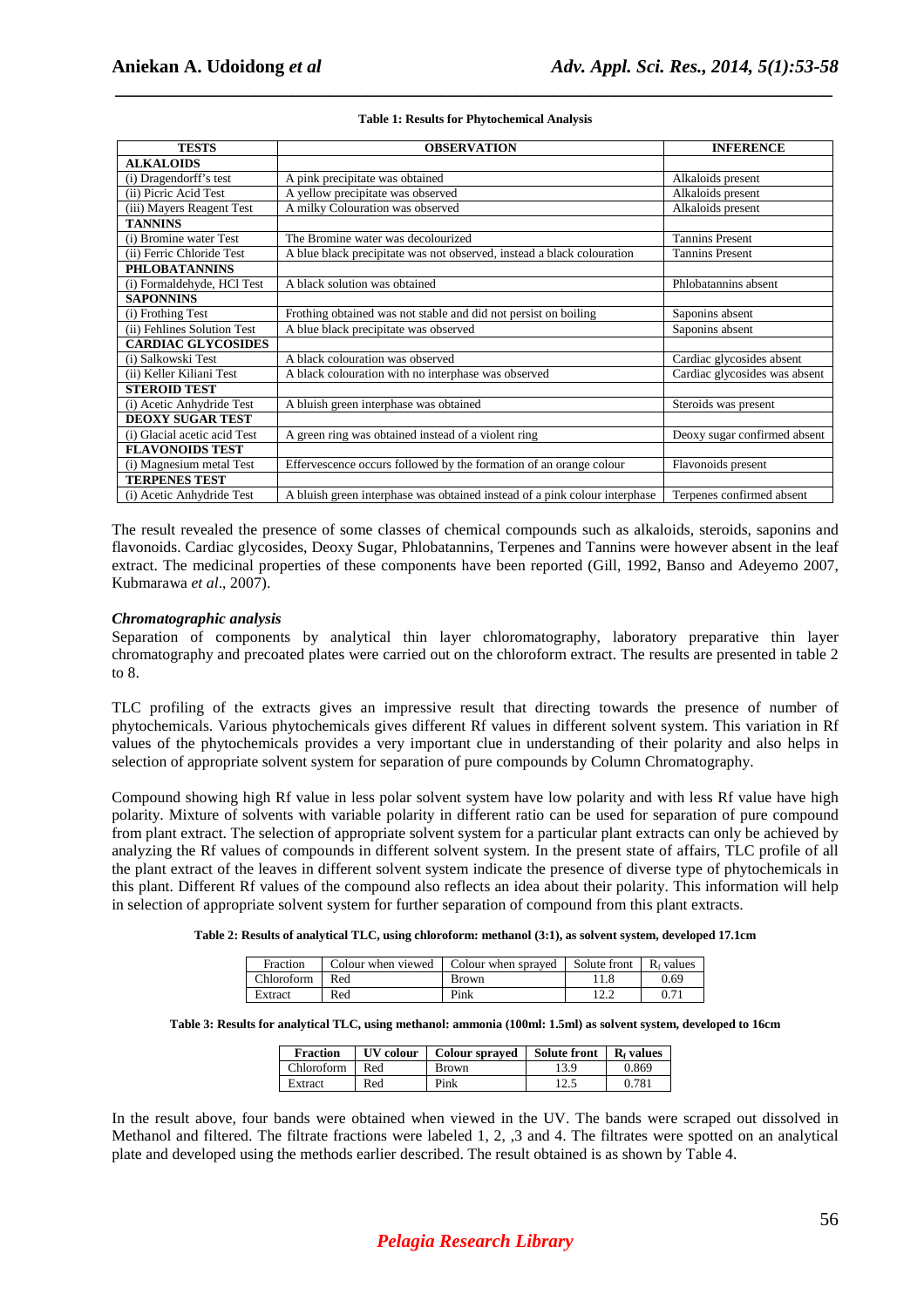| <b>TESTS</b>                 | <b>OBSERVATION</b>                                                         | <b>INFERENCE</b>              |
|------------------------------|----------------------------------------------------------------------------|-------------------------------|
| <b>ALKALOIDS</b>             |                                                                            |                               |
| (i) Dragendorff's test       | A pink precipitate was obtained                                            | Alkaloids present             |
| (ii) Picric Acid Test        | A yellow precipitate was observed                                          | Alkaloids present             |
| (iii) Mayers Reagent Test    | A milky Colouration was observed                                           | Alkaloids present             |
| <b>TANNINS</b>               |                                                                            |                               |
| (i) Bromine water Test       | The Bromine water was decolourized                                         | <b>Tannins Present</b>        |
| (ii) Ferric Chloride Test    | A blue black precipitate was not observed, instead a black colouration     | <b>Tannins Present</b>        |
| <b>PHLOBATANNINS</b>         |                                                                            |                               |
| (i) Formaldehyde, HCl Test   | A black solution was obtained                                              | Phlobatannins absent          |
| <b>SAPONNINS</b>             |                                                                            |                               |
| (i) Frothing Test            | Frothing obtained was not stable and did not persist on boiling            | Saponins absent               |
| (ii) Fehlines Solution Test  | A blue black precipitate was observed                                      | Saponins absent               |
| <b>CARDIAC GLYCOSIDES</b>    |                                                                            |                               |
| (i) Salkowski Test           | A black colouration was observed                                           | Cardiac glycosides absent     |
| (ii) Keller Kiliani Test     | A black colouration with no interphase was observed                        | Cardiac glycosides was absent |
| <b>STEROID TEST</b>          |                                                                            |                               |
| (i) Acetic Anhydride Test    | A bluish green interphase was obtained                                     | Steroids was present          |
| <b>DEOXY SUGAR TEST</b>      |                                                                            |                               |
| (i) Glacial acetic acid Test | A green ring was obtained instead of a violent ring                        | Deoxy sugar confirmed absent  |
| <b>FLAVONOIDS TEST</b>       |                                                                            |                               |
| (i) Magnesium metal Test     | Effervescence occurs followed by the formation of an orange colour         | Flavonoids present            |
| <b>TERPENES TEST</b>         |                                                                            |                               |
| (i) Acetic Anhydride Test    | A bluish green interphase was obtained instead of a pink colour interphase | Terpenes confirmed absent     |

## *\_\_\_\_\_\_\_\_\_\_\_\_\_\_\_\_\_\_\_\_\_\_\_\_\_\_\_\_\_\_\_\_\_\_\_\_\_\_\_\_\_\_\_\_\_\_\_\_\_\_\_\_\_\_\_\_\_\_\_\_\_\_\_\_\_\_\_\_\_\_\_\_\_\_\_\_\_* **Table 1: Results for Phytochemical Analysis**

The result revealed the presence of some classes of chemical compounds such as alkaloids, steroids, saponins and flavonoids. Cardiac glycosides, Deoxy Sugar, Phlobatannins, Terpenes and Tannins were however absent in the leaf extract. The medicinal properties of these components have been reported (Gill, 1992, Banso and Adeyemo 2007, Kubmarawa *et al*., 2007).

#### *Chromatographic analysis*

Separation of components by analytical thin layer chloromatography, laboratory preparative thin layer chromatography and precoated plates were carried out on the chloroform extract. The results are presented in table 2 to 8.

TLC profiling of the extracts gives an impressive result that directing towards the presence of number of phytochemicals. Various phytochemicals gives different Rf values in different solvent system. This variation in Rf values of the phytochemicals provides a very important clue in understanding of their polarity and also helps in selection of appropriate solvent system for separation of pure compounds by Column Chromatography.

Compound showing high Rf value in less polar solvent system have low polarity and with less Rf value have high polarity. Mixture of solvents with variable polarity in different ratio can be used for separation of pure compound from plant extract. The selection of appropriate solvent system for a particular plant extracts can only be achieved by analyzing the Rf values of compounds in different solvent system. In the present state of affairs, TLC profile of all the plant extract of the leaves in different solvent system indicate the presence of diverse type of phytochemicals in this plant. Different Rf values of the compound also reflects an idea about their polarity. This information will help in selection of appropriate solvent system for further separation of compound from this plant extracts.

| Table 2: Results of analytical TLC, using chloroform: methanol (3:1), as solvent system, developed 17.1cm |  |  |  |
|-----------------------------------------------------------------------------------------------------------|--|--|--|
|                                                                                                           |  |  |  |

| Fraction    | Colour when viewed | Colour when sprayed | Solute front | $R_f$ values |
|-------------|--------------------|---------------------|--------------|--------------|
| Chloroform- | Red                | <b>Brown</b>        |              | 0.69         |
| Extract     | Red                | Pink                |              |              |

**Table 3: Results for analytical TLC, using methanol: ammonia (100ml: 1.5ml) as solvent system, developed to 16cm** 

| <b>Fraction</b> | UV colour | <b>Colour sprayed</b> | Solute front | R <sub>f</sub> values |
|-----------------|-----------|-----------------------|--------------|-----------------------|
| Chloroform      | Red       | <b>Brown</b>          | 13.9         | 0.869                 |
| Extract         | Red       | Pink                  |              | 0.781                 |

In the result above, four bands were obtained when viewed in the UV. The bands were scraped out dissolved in Methanol and filtered. The filtrate fractions were labeled 1, 2, ,3 and 4. The filtrates were spotted on an analytical plate and developed using the methods earlier described. The result obtained is as shown by Table 4.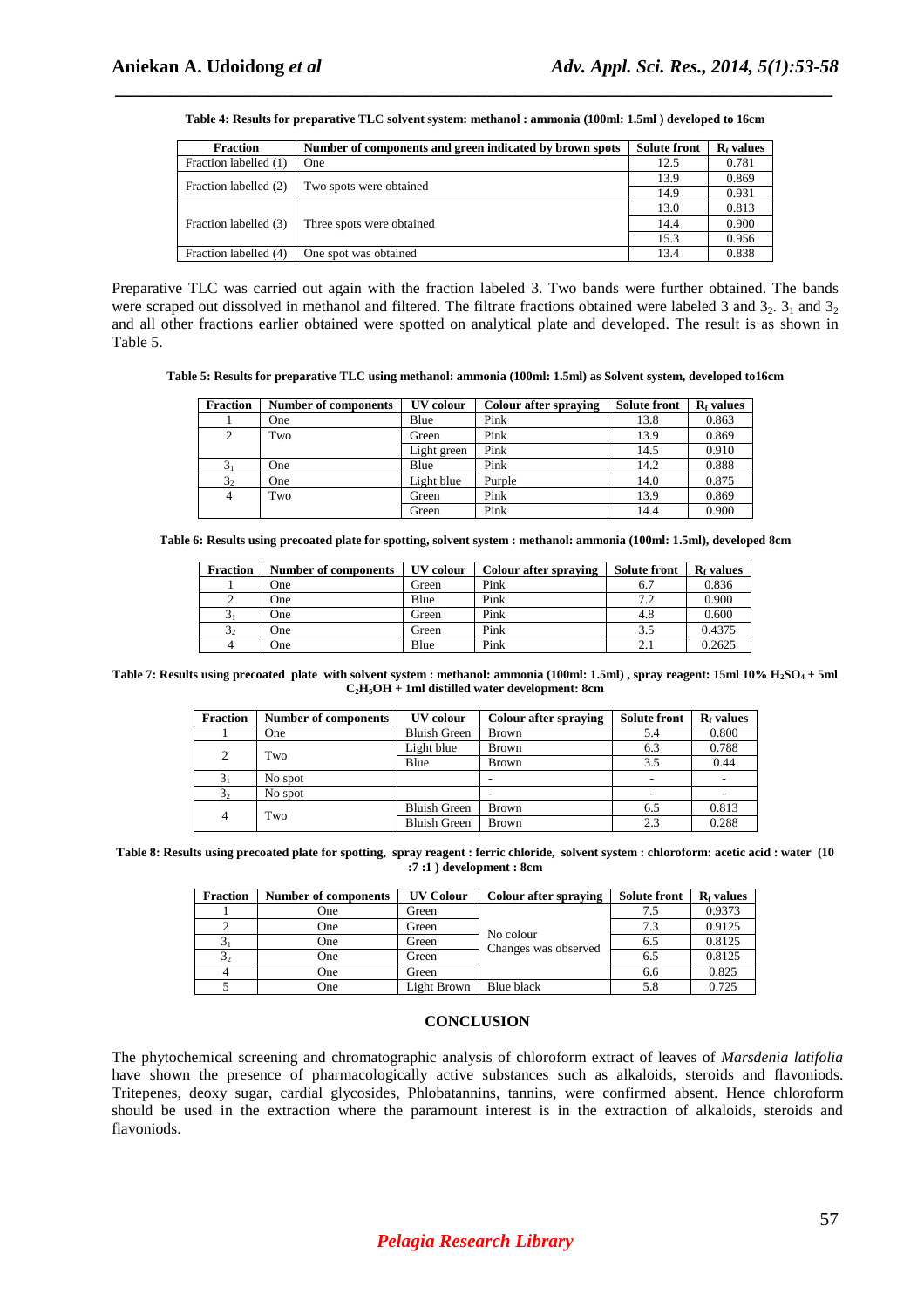| Table 4: Results for preparative TLC solvent system: methanol : ammonia (100ml: 1.5ml) developed to 16cm |
|----------------------------------------------------------------------------------------------------------|

| <b>Fraction</b>       | Number of components and green indicated by brown spots | <b>Solute front</b> | $Rf$ values |
|-----------------------|---------------------------------------------------------|---------------------|-------------|
| Fraction labelled (1) | One                                                     | 12.5                | 0.781       |
| Fraction labelled (2) | Two spots were obtained                                 | 13.9                | 0.869       |
|                       |                                                         | 14.9                | 0.931       |
| Fraction labelled (3) |                                                         | 13.0                | 0.813       |
|                       | Three spots were obtained.                              | 14.4                | 0.900       |
|                       |                                                         | 15.3                | 0.956       |
| Fraction labelled (4) | One spot was obtained                                   | 13.4                | 0.838       |

Preparative TLC was carried out again with the fraction labeled 3. Two bands were further obtained. The bands were scraped out dissolved in methanol and filtered. The filtrate fractions obtained were labeled 3 and  $3_2$ .  $3_1$  and  $3_2$ and all other fractions earlier obtained were spotted on analytical plate and developed. The result is as shown in Table 5.

**Table 5: Results for preparative TLC using methanol: ammonia (100ml: 1.5ml) as Solvent system, developed to16cm** 

| <b>Fraction</b> | <b>Number of components</b> | <b>UV</b> colour | <b>Colour after spraying</b> | <b>Solute front</b> | R <sub>f</sub> values |
|-----------------|-----------------------------|------------------|------------------------------|---------------------|-----------------------|
|                 | One                         | Blue             | Pink                         | 13.8                | 0.863                 |
| 2               | Two                         | Green            | Pink                         | 13.9                | 0.869                 |
|                 |                             | Light green      | Pink                         | 14.5                | 0.910                 |
| 3 <sub>1</sub>  | One                         | Blue             | Pink                         | 14.2                | 0.888                 |
| 3 <sub>2</sub>  | One                         | Light blue       | Purple                       | 14.0                | 0.875                 |
| 4               | Two                         | Green            | Pink                         | 13.9                | 0.869                 |
|                 |                             | Green            | Pink                         | 14.4                | 0.900                 |

**Table 6: Results using precoated plate for spotting, solvent system : methanol: ammonia (100ml: 1.5ml), developed 8cm** 

| <b>Fraction</b>  | <b>Number of components</b> | <b>UV</b> colour | <b>Colour after spraying</b> | <b>Solute front</b> | $Rf$ values |
|------------------|-----------------------------|------------------|------------------------------|---------------------|-------------|
|                  | One                         | Green            | Pink                         | 6.7                 | 0.836       |
|                  | One                         | Blue             | Pink                         | 7.2                 | 0.900       |
| $\mathfrak{I}_1$ | One                         | Green            | Pink                         | 4.8                 | 0.600       |
| 3 <sub>2</sub>   | One                         | Green            | Pink                         | 3.5                 | 0.4375      |
|                  | One                         | Blue             | Pink                         | 2.1                 | 0.2625      |

**Table 7: Results using precoated plate with solvent system : methanol: ammonia (100ml: 1.5ml) , spray reagent: 15ml 10% H2SO4 + 5ml C2H5OH + 1ml distilled water development: 8cm** 

| <b>Fraction</b> | <b>Number of components</b> | UV colour           | Colour after spraying | <b>Solute front</b> | $Rf$ values |
|-----------------|-----------------------------|---------------------|-----------------------|---------------------|-------------|
|                 | One                         | <b>Bluish Green</b> | <b>Brown</b>          | 5.4                 | 0.800       |
| 2               | Two                         | Light blue          | <b>Brown</b>          | 6.3                 | 0.788       |
|                 |                             | Blue                | <b>Brown</b>          | 3.5                 | 0.44        |
|                 | No spot                     |                     |                       |                     |             |
| 3 <sub>2</sub>  | No spot                     |                     |                       |                     |             |
| 4               | Two                         | <b>Bluish Green</b> | <b>Brown</b>          | 6.5                 | 0.813       |
|                 |                             | <b>Bluish Green</b> | <b>Brown</b>          | 2.3                 | 0.288       |

**Table 8: Results using precoated plate for spotting, spray reagent : ferric chloride, solvent system : chloroform: acetic acid : water (10 :7 :1 ) development : 8cm** 

| Fraction       | <b>Number of components</b> | <b>UV Colour</b> | <b>Colour after spraying</b>      | <b>Solute front</b> | $Rf$ values |
|----------------|-----------------------------|------------------|-----------------------------------|---------------------|-------------|
|                | One                         | Green            | No colour<br>Changes was observed |                     | 0.9373      |
|                | One                         | Green            |                                   | 7.3                 | 0.9125      |
| 3 <sub>1</sub> | One                         | Green            |                                   | 6.5                 | 0.8125      |
| 3 <sub>2</sub> | One                         | Green            |                                   | 6.5                 | 0.8125      |
|                | One                         | Green            |                                   | 6.6                 | 0.825       |
|                | One                         | Light Brown      | Blue black                        | 5.8                 | 0.725       |

#### **CONCLUSION**

The phytochemical screening and chromatographic analysis of chloroform extract of leaves of *Marsdenia latifolia* have shown the presence of pharmacologically active substances such as alkaloids, steroids and flavoniods. Tritepenes, deoxy sugar, cardial glycosides, Phlobatannins, tannins, were confirmed absent. Hence chloroform should be used in the extraction where the paramount interest is in the extraction of alkaloids, steroids and flavoniods.